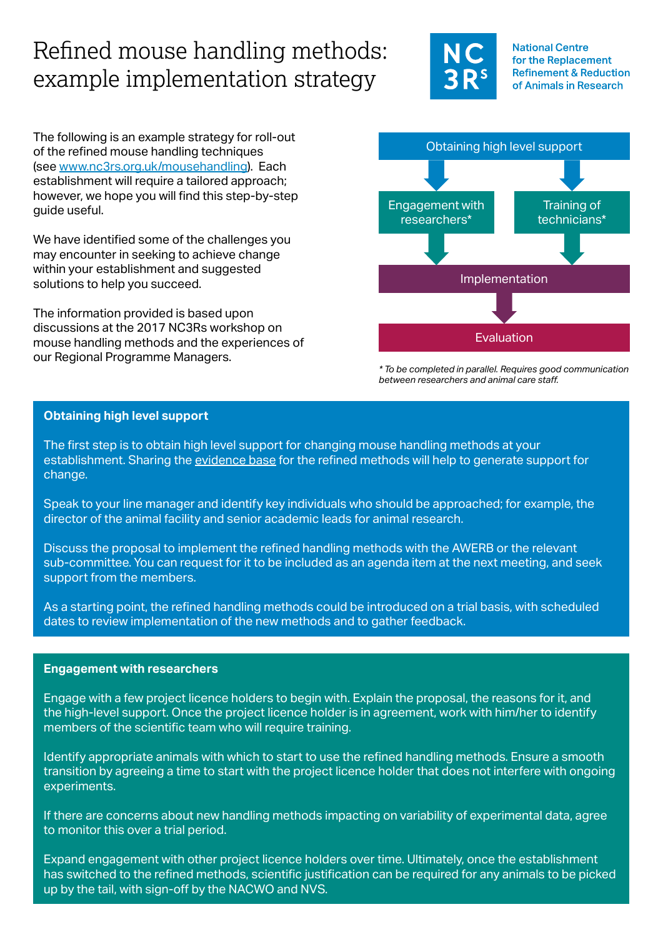# Refined mouse handling methods: example implementation strategy

The following is an example strategy for roll-out of the refined mouse handling techniques (see [www.nc3rs.org.uk/mousehandling](http://www.nc3rs.org.uk/mousehandling)). Each establishment will require a tailored approach; however, we hope you will find this step-by-step guide useful.

We have identified some of the challenges you may encounter in seeking to achieve change within your establishment and suggested solutions to help you succeed.

The information provided is based upon discussions at the 2017 NC3Rs workshop on mouse handling methods and the experiences of our Regional Programme Managers.



**National Centre** for the Replacement **Refinement & Reduction** of Animals in Research

*\* To be completed in parallel. Requires good communication between researchers and animal care staff.*

## **Obtaining high level support**

The first step is to obtain high level support for changing mouse handling methods at your establishment. Sharing the [evidence base](http://www.nc3rs.org.uk/mouse-handling-research-papers) for the refined methods will help to generate support for change.

Speak to your line manager and identify key individuals who should be approached; for example, the director of the animal facility and senior academic leads for animal research.

Discuss the proposal to implement the refined handling methods with the AWERB or the relevant sub-committee. You can request for it to be included as an agenda item at the next meeting, and seek support from the members.

As a starting point, the refined handling methods could be introduced on a trial basis, with scheduled dates to review implementation of the new methods and to gather feedback.

# **Engagement with researchers**

Engage with a few project licence holders to begin with. Explain the proposal, the reasons for it, and the high-level support. Once the project licence holder is in agreement, work with him/her to identify members of the scientific team who will require training.

Identify appropriate animals with which to start to use the refined handling methods. Ensure a smooth transition by agreeing a time to start with the project licence holder that does not interfere with ongoing experiments.

If there are concerns about new handling methods impacting on variability of experimental data, agree to monitor this over a trial period.

Expand engagement with other project licence holders over time. Ultimately, once the establishment has switched to the refined methods, scientific justification can be required for any animals to be picked up by the tail, with sign-off by the NACWO and NVS.